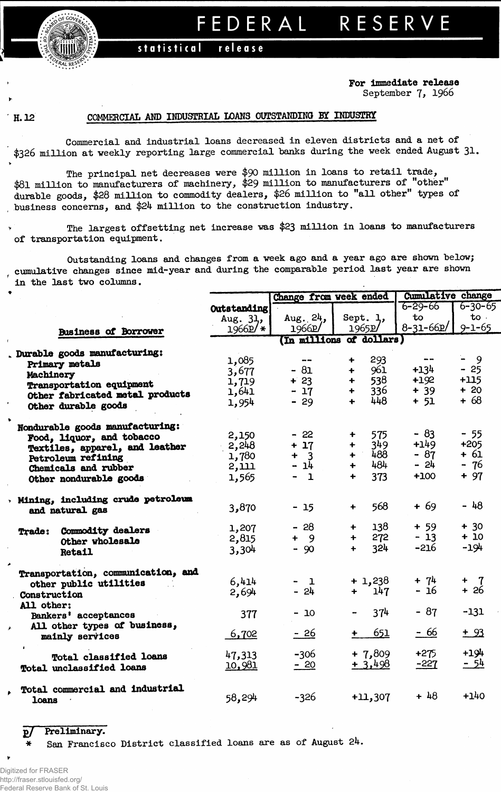

## FEDERA L RESERV E

## **statistica l releas e**

## **For Immediate release** September 7, 1966

## H. 12 COMMERCIAL AND INDUSTRIAL LOANS OUTSTANDING BY INDUSTRY

Commercial and industrial loans decreased in eleven districts and a net of \$326 million at weekly reporting large commercial banks during the week ended August 31.

The principal net decreases were \$90 million in loans to retail trade, \$81 million to manufacturers of machinery, \$29 million to manufacturers of "other" durable goods, \$28 million to commodity dealers, \$26 million to "all other" types of business concerns, and \$24 million to the construction industry.

The largest offsetting net increase was **\$23** million in loans to manufacturers of transportation equipment.

Outstanding loans and changes from a week ago and a year ago are shown below; cumulative changes since mid-year and during the comparable period last year are shown in the last two columns.

|                                    |               | Change from week ended |                             | <b>Cumulative change</b>     |               |  |  |
|------------------------------------|---------------|------------------------|-----------------------------|------------------------------|---------------|--|--|
|                                    | Outstanding   |                        |                             | $6 - 29 - 66$                | $6 - 30 - 65$ |  |  |
|                                    | Aug. 31,      | Aug. $24$ ,            | Sept. 1,                    | to                           | $to \cdot$    |  |  |
| <b>Business of Borrower</b>        | $1966P$ /*    | 1966D                  | 1965p/                      | $8 - 31 - 66p$               | $9 - 1 - 65$  |  |  |
|                                    |               |                        | (In millions of dollars)    |                              |               |  |  |
| Durable goods manufacturing:       |               |                        |                             |                              |               |  |  |
| Primary metals                     | 1,085         | $- -$                  | 293<br>+                    | $\qquad \qquad \blacksquare$ | $-9$          |  |  |
| Machinery                          | 3,677         | $-81$                  | 961<br>╇                    | $+134$                       | $-25$         |  |  |
| Transportation equipment           | 1,719         | $+23$                  | 538<br>$\ddotmark$          | $+192$                       | $+115$        |  |  |
| Other fabricated metal products    | 1,641         | $-17$                  | 336<br>$\ddotmark$          | $+39$                        | $+20$         |  |  |
| Other durable goods                | 1,954         | $-29$                  | 448<br>$\ddot{\phantom{1}}$ | $+ 51$                       | $+68$         |  |  |
| Nondurable goods manufacturing:    |               |                        |                             |                              |               |  |  |
| Food, liquor, and tobacco          | 2,150         | $-22$                  | 575<br>÷                    | $-83$                        | $-55$         |  |  |
| Textiles, apparel, and leather     | 2,248         | $+17$                  | 349<br>$\ddot{\phantom{1}}$ | $+149$                       | $+205$        |  |  |
| Petroleum refining                 | 1,780         | $+ 3$                  | 488<br>$+$                  | $-87$                        | + 61          |  |  |
| Chemicals and rubber               | 2,111         | - 14                   | 484<br>+                    | - 24                         | - 76          |  |  |
| Other nondurable goods             | 1,565         | $-1$                   | 373<br>$\ddotmark$          | $+100$                       | $+97$         |  |  |
| Mining, including crude petroleum  |               |                        |                             | $+69$                        | $-48$         |  |  |
| and natural gas                    | 3,870         | $-15$                  | 568<br>$\ddotmark$          |                              |               |  |  |
| Commodity dealers<br><b>Trade:</b> | 1,207         | $-28$                  | 138<br>$\ddot{\phantom{1}}$ | $+59$                        | $+30$         |  |  |
| Other wholesale                    | 2,815         | $+ 9$                  | 272<br>$\ddotmark$          | $-13$                        | $+10$         |  |  |
| Retail                             | 3,304         | $-90$                  | 324<br>$\ddot{\phantom{1}}$ | $-216$                       | -194          |  |  |
| Transportation, communication, and |               |                        |                             |                              |               |  |  |
| other public utilities             | 6,414         | - 1                    | $+1,238$                    | $+ 74$                       | + $7 + 26$    |  |  |
| Construction                       | 2,694         | $-24$                  | 147<br>$+$ $-$              | $-16$                        |               |  |  |
| All other:<br>Bankers' acceptances | 377           | $-10$                  | 374                         | $-87$                        | $-131$        |  |  |
| All other types of business,       | 6,702         | $-26$                  | 651<br>$\ddot{\phantom{1}}$ | - 66                         | $+93$         |  |  |
| mainly services                    |               |                        |                             |                              |               |  |  |
| <b>Total classified loans</b>      | 47,313        | $-306$                 | $+7,809$                    | $+275$                       | $+194$        |  |  |
| Total unclassified loans           | <u>10,981</u> | $-20$                  | $+3,498$                    | $-227$                       | $-54$         |  |  |
| Total commercial and industrial    |               |                        |                             |                              |               |  |  |
| loans                              | 58,294        | $-326$                 | $+11,307$                   | $+ 48$                       | $+140$        |  |  |

g/ Preliminary.

\* San Francisco District classified loans are as of August 24.

*¥•*